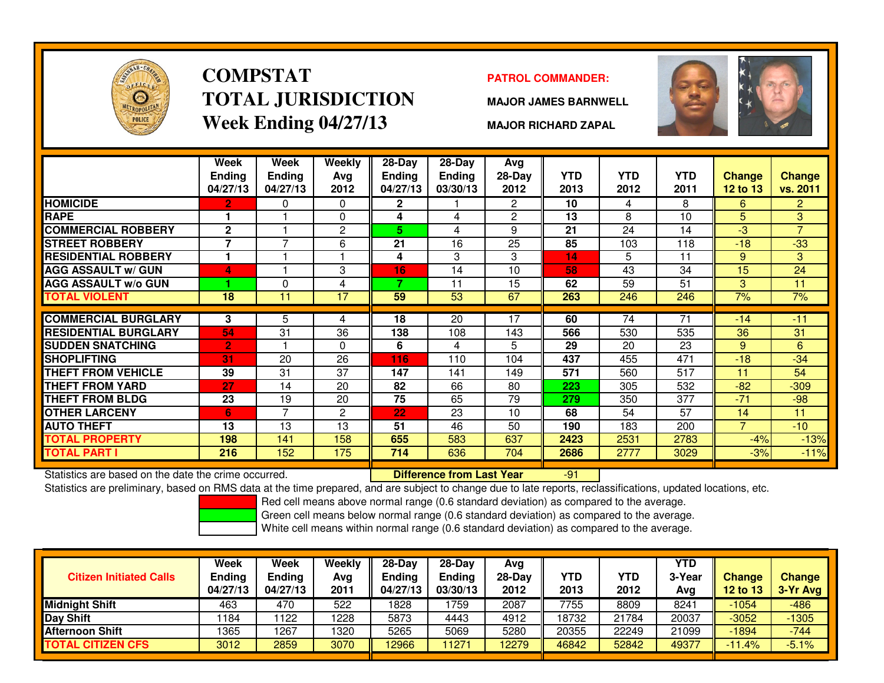

# **COMPSTATTOTAL JURISDICTIONWeek Ending 04/27/13**

### **PATROL COMMANDER:**

**MAJOR JAMES BARNWELL**



**MAJOR RICHARD ZAPAL**

|                             | Week<br><b>Ending</b><br>04/27/13 | <b>Week</b><br><b>Ending</b><br>04/27/13 | Weekly<br>Avg<br>2012 | $28$ -Day<br><b>Ending</b><br>04/27/13 | 28-Day<br>Ending<br>03/30/13 | Avg<br>$28-Day$<br>2012 | <b>YTD</b><br>2013 | <b>YTD</b><br>2012 | <b>YTD</b><br>2011 | Change<br><b>12 to 13</b> | <b>Change</b><br>vs. 2011 |
|-----------------------------|-----------------------------------|------------------------------------------|-----------------------|----------------------------------------|------------------------------|-------------------------|--------------------|--------------------|--------------------|---------------------------|---------------------------|
| <b>HOMICIDE</b>             | 2                                 | $\Omega$                                 | $\Omega$              | $\overline{2}$                         |                              | $\mathbf{2}^{\circ}$    | 10                 | 4                  | 8                  | 6                         | $\overline{2}$            |
| <b>RAPE</b>                 |                                   |                                          | $\mathbf{0}$          | 4                                      | 4                            | 2                       | 13                 | 8                  | 10                 | 5                         | 3                         |
| <b>COMMERCIAL ROBBERY</b>   | $\mathbf{2}$                      |                                          | $\overline{c}$        | 5                                      | 4                            | 9                       | 21                 | 24                 | 14                 | -3                        | $\overline{7}$            |
| <b>STREET ROBBERY</b>       | $\overline{\phantom{a}}$          | $\overline{\phantom{0}}$                 | 6                     | 21                                     | 16                           | 25                      | 85                 | 103                | 118                | $-18$                     | $-33$                     |
| <b>RESIDENTIAL ROBBERY</b>  |                                   |                                          |                       | 4                                      | 3                            | 3                       | 14                 | 5                  | 11                 | 9                         | 3                         |
| <b>AGG ASSAULT w/ GUN</b>   | 4                                 |                                          | 3                     | 16                                     | 14                           | 10                      | 58                 | 43                 | 34                 | 15                        | 24                        |
| <b>AGG ASSAULT w/o GUN</b>  |                                   | $\Omega$                                 | 4                     | 7                                      | 11                           | 15                      | 62                 | 59                 | 51                 | 3                         | 11                        |
| <b>TOTAL VIOLENT</b>        | 18                                | 11                                       | 17                    | 59                                     | 53                           | 67                      | 263                | 246                | 246                | 7%                        | 7%                        |
|                             |                                   |                                          |                       |                                        |                              |                         |                    |                    |                    |                           |                           |
| <b>COMMERCIAL BURGLARY</b>  | 3                                 | 5.                                       | 4                     | 18                                     | 20                           | 17                      | 60                 | 74                 | 71                 | $-14$                     | $-11$                     |
| <b>RESIDENTIAL BURGLARY</b> | 54                                | 31                                       | 36                    | 138                                    | 108                          | 143                     | 566                | 530                | 535                | 36                        | 31                        |
| <b>SUDDEN SNATCHING</b>     | $\overline{2}$                    |                                          | $\Omega$              | 6                                      | 4                            | 5                       | 29                 | 20                 | 23                 | 9                         | 6                         |
| <b>SHOPLIFTING</b>          | 31                                | 20                                       | 26                    | 116                                    | 110                          | 104                     | 437                | 455                | 471                | $-18$                     | $-34$                     |
| <b>THEFT FROM VEHICLE</b>   | 39                                | 31                                       | 37                    | 147                                    | 141                          | 149                     | 571                | 560                | 517                | 11                        | 54                        |
| THEFT FROM YARD             | 27                                | 14                                       | 20                    | 82                                     | 66                           | 80                      | 223                | 305                | 532                | $-82$                     | $-309$                    |
| <b>THEFT FROM BLDG</b>      | 23                                | 19                                       | 20                    | 75                                     | 65                           | 79                      | 279                | 350                | 377                | $-71$                     | $-98$                     |
| <b>OTHER LARCENY</b>        | 6                                 | $\overline{\phantom{a}}$                 | $\overline{c}$        | 22                                     | 23                           | 10                      | 68                 | 54                 | 57                 | 14                        | 11                        |
| <b>AUTO THEFT</b>           | 13                                | 13                                       | 13                    | 51                                     | 46                           | 50                      | 190                | 183                | 200                | $\overline{7}$            | $-10$                     |
| <b>TOTAL PROPERTY</b>       | 198                               | 141                                      | 158                   | 655                                    | 583                          | 637                     | 2423               | 2531               | 2783               | $-4%$                     | $-13%$                    |
| <b>TOTAL PART I</b>         | 216                               | 152                                      | 175                   | 714                                    | 636                          | 704                     | 2686               | 2777               | 3029               | $-3%$                     | $-11%$                    |

Statistics are based on the date the crime occurred. **Difference from Last Year** 

Statistics are based on the date the crime occurred. **[19] Luite Luite Lite of Last Year Net Last Year** 1919 - 1<br>Statistics are preliminary, based on RMS data at the time prepared, and are subject to change due to late rep

Red cell means above normal range (0.6 standard deviation) as compared to the average.

Green cell means below normal range (0.6 standard deviation) as compared to the average.

| <b>Citizen Initiated Calls</b> | Week<br>Ending<br>04/27/13 | Week<br><b>Ending</b><br>04/27/13 | Weekly<br>Avg<br>2011 | $28-Dav$<br>Ending<br>04/27/13 | $28-Dav$<br>Ending<br>03/30/13 | Avg<br>$28-Dav$<br>2012 | <b>YTD</b><br>2013 | <b>YTD</b><br>2012 | <b>YTD</b><br>3-Year<br>Avg | <b>Change</b><br>12 to 13 | <b>Change</b><br>3-Yr Avg |
|--------------------------------|----------------------------|-----------------------------------|-----------------------|--------------------------------|--------------------------------|-------------------------|--------------------|--------------------|-----------------------------|---------------------------|---------------------------|
| <b>Midnight Shift</b>          | 463                        | 470                               | 522                   | 1828                           | 759                            | 2087                    | 7755               | 8809               | 8241                        | $-1054$                   | $-486$                    |
| Day Shift                      | 184                        | 122                               | 1228                  | 5873                           | 4443                           | 4912                    | 18732              | 21784              | 20037                       | $-3052$                   | $-1305$                   |
| <b>Afternoon Shift</b>         | 1365                       | 1267                              | 1320                  | 5265                           | 5069                           | 5280                    | 20355              | 22249              | 21099                       | $-1894$                   | $-744$                    |
| <b>TOTAL CITIZEN CFS</b>       | 3012                       | 2859                              | 3070                  | 12966                          | 11271                          | 12279                   | 46842              | 52842              | 49377                       | $-11.4%$                  | $-5.1%$                   |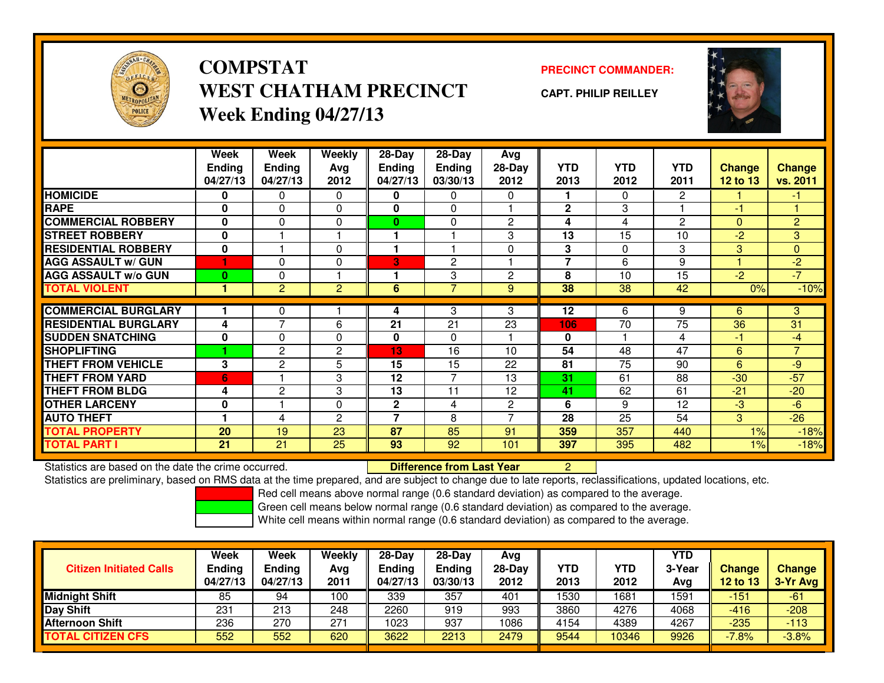

**COMPSTATWEST CHATHAM PRECINCTWeek Ending 04/27/13**

**PRECINCT COMMANDER:**

**CAPT. PHILIP REILLEY**



|                             | Week           | Week           | <b>Weekly</b>  | $28 - Day$   | $28-Day$       | Avg            |                |            |                |               |                |
|-----------------------------|----------------|----------------|----------------|--------------|----------------|----------------|----------------|------------|----------------|---------------|----------------|
|                             | <b>Ending</b>  | <b>Ending</b>  | Avg            | Ending       | <b>Ending</b>  | 28-Day         | <b>YTD</b>     | <b>YTD</b> | <b>YTD</b>     | <b>Change</b> | <b>Change</b>  |
|                             | 04/27/13       | 04/27/13       | 2012           | 04/27/13     | 03/30/13       | 2012           | 2013           | 2012       | 2011           | 12 to 13      | vs. 2011       |
| <b>HOMICIDE</b>             | 0              | 0              | $\mathbf 0$    | 0            | 0              | $\Omega$       |                | $\Omega$   | $\overline{2}$ |               | $-1$           |
| <b>RAPE</b>                 | $\mathbf{0}$   | 0              | $\Omega$       | $\mathbf{0}$ | $\Omega$       |                | $\mathbf{2}$   | 3          |                | $-1$          |                |
| <b>COMMERCIAL ROBBERY</b>   | 0              | 0              | 0              | $\bf{0}$     | 0              | $\overline{c}$ | 4              | 4          | $\overline{2}$ | $\mathbf{0}$  | $\overline{2}$ |
| <b>STREET ROBBERY</b>       | $\bf{0}$       |                |                |              |                | 3              | 13             | 15         | 10             | $-2$          | 3              |
| <b>RESIDENTIAL ROBBERY</b>  | $\bf{0}$       |                | $\Omega$       |              |                | $\Omega$       | 3              | $\Omega$   | 3              | 3             | $\mathbf{0}$   |
| <b>AGG ASSAULT w/ GUN</b>   |                | $\Omega$       | 0              | 3            | $\mathbf{2}$   |                | $\overline{7}$ | 6          | 9              |               | $-2$           |
| <b>AGG ASSAULT w/o GUN</b>  | $\bf{0}$       | 0              |                |              | 3              | $\overline{2}$ | 8              | 10         | 15             | $-2$          | $-7$           |
| <b>TOTAL VIOLENT</b>        |                | $\overline{2}$ | $\overline{2}$ | 6            | 7              | 9              | 38             | 38         | 42             | 0%            | $-10%$         |
| <b>COMMERCIAL BURGLARY</b>  |                | 0              |                | 4            | 3              | 3              | 12             | 6          | 9              | 6             | 3              |
|                             |                | $\overline{7}$ |                |              |                |                |                |            |                |               |                |
| <b>RESIDENTIAL BURGLARY</b> | 4              |                | 6              | 21           | 21             | 23             | 106            | 70         | 75             | 36            | 31             |
| <b>SUDDEN SNATCHING</b>     | $\mathbf{0}$   | 0              | 0              | 0            | $\Omega$       |                | $\bf{0}$       |            | 4              | $-1$          | $-4$           |
| <b>SHOPLIFTING</b>          |                | $\mathbf{2}$   | 2              | 13           | 16             | 10             | 54             | 48         | 47             | 6             | $\overline{7}$ |
| <b>THEFT FROM VEHICLE</b>   | 3              | $\overline{c}$ | 5              | 15           | 15             | 22             | 81             | 75         | 90             | 6             | -9             |
| <b>THEFT FROM YARD</b>      | $6\phantom{1}$ |                | 3              | 12           | $\overline{7}$ | 13             | 31             | 61         | 88             | $-30$         | $-57$          |
| <b>THEFT FROM BLDG</b>      | 4              | 2              | 3              | 13           | 11             | 12             | 41             | 62         | 61             | $-21$         | $-20$          |
| <b>OTHER LARCENY</b>        | $\mathbf{0}$   |                | 0              | $\mathbf{2}$ | 4              | $\overline{c}$ | 6              | 9          | 12             | $-3$          | $-6$           |
| <b>AUTO THEFT</b>           |                | 4              | $\overline{c}$ | 7            | 8              |                | 28             | 25         | 54             | 3             | $-26$          |
| <b>TOTAL PROPERTY</b>       | 20             | 19             | 23             | 87           | 85             | 91             | 359            | 357        | 440            | 1%            | $-18%$         |
| <b>TOTAL PART I</b>         | 21             | 21             | 25             | 93           | 92             | 101            | 397            | 395        | 482            | $1\%$         | $-18%$         |

Statistics are based on the date the crime occurred. **Difference from Last Year** 

Statistics are based on the date the crime occurred. **Difference from Last Year Net ally are to a**t and ate to late reports, reclassifications, updated locations, etc.<br>Statistics are preliminary, based on RMS data at the t

Red cell means above normal range (0.6 standard deviation) as compared to the average.

Green cell means below normal range (0.6 standard deviation) as compared to the average.

| <b>Citizen Initiated Calls</b> | Week<br>Ending<br>04/27/13 | Week<br><b>Ending</b><br>04/27/13 | Weekly<br>Avg<br>2011 | $28-Day$<br><b>Endina</b><br>04/27/13 | 28-Dav<br>Endina<br>03/30/13 | Avg<br>28-Day<br>2012 | YTD<br>2013 | YTD<br>2012 | <b>YTD</b><br>3-Year<br>Avg | <b>Change</b><br><b>12 to 13</b> | Change<br>3-Yr Avg |
|--------------------------------|----------------------------|-----------------------------------|-----------------------|---------------------------------------|------------------------------|-----------------------|-------------|-------------|-----------------------------|----------------------------------|--------------------|
| <b>Midnight Shift</b>          | 85                         | 94                                | 100                   | 339                                   | 357                          | 401                   | 1530        | 1681        | 1591                        | $-151$                           | $-61$              |
| Day Shift                      | 231                        | 213                               | 248                   | 2260                                  | 919                          | 993                   | 3860        | 4276        | 4068                        | $-416$                           | $-208$             |
| <b>Afternoon Shift</b>         | 236                        | 270                               | 271                   | 1023                                  | 937                          | 1086                  | 4154        | 4389        | 4267                        | $-235$                           | $-113$             |
| <b>TOTAL CITIZEN CFS</b>       | 552                        | 552                               | 620                   | 3622                                  | 2213                         | 2479                  | 9544        | 10346       | 9926                        | $-7.8%$                          | $-3.8%$            |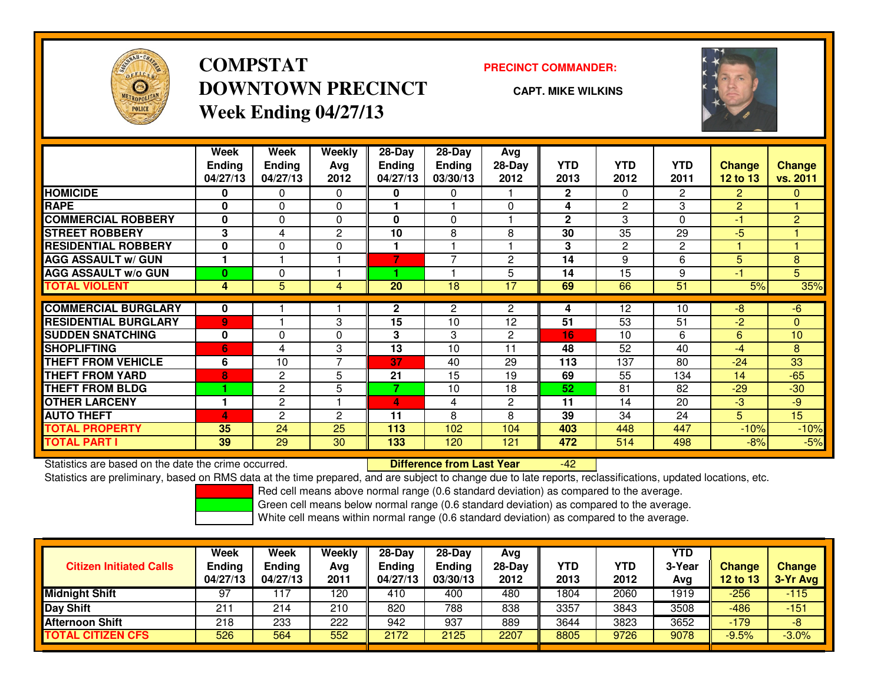

## **COMPSTATDOWNTOWN PRECINCTWeek Ending 04/27/13**

### **PRECINCT COMMANDER:**

**CAPT. MIKE WILKINS**

-42



|                             | Week<br><b>Ending</b><br>04/27/13 | Week<br><b>Ending</b><br>04/27/13 | Weekly<br>Ava<br>2012 | $28-Day$<br>Ending<br>04/27/13 | $28-Day$<br><b>Ending</b><br>03/30/13 | Avg<br>$28-Day$<br>2012 | <b>YTD</b><br>2013 | <b>YTD</b><br>2012 | <b>YTD</b><br>2011 | <b>Change</b><br>12 to 13 | <b>Change</b><br>vs. 2011 |
|-----------------------------|-----------------------------------|-----------------------------------|-----------------------|--------------------------------|---------------------------------------|-------------------------|--------------------|--------------------|--------------------|---------------------------|---------------------------|
| <b>HOMICIDE</b>             | 0                                 | 0                                 | $\Omega$              | 0                              | 0                                     |                         | $\mathbf{2}$       | 0                  | $\overline{2}$     | $\overline{2}$            | $\Omega$                  |
| <b>RAPE</b>                 | 0                                 | 0                                 | $\Omega$              |                                |                                       | $\Omega$                | 4                  | $\overline{2}$     | 3                  | $\overline{2}$            |                           |
| <b>COMMERCIAL ROBBERY</b>   | 0                                 | 0                                 | $\Omega$              | 0                              | 0                                     |                         | $\mathbf{2}$       | 3                  | $\Omega$           | -1                        | $\overline{2}$            |
| <b>STREET ROBBERY</b>       | 3                                 | 4                                 | $\overline{c}$        | 10                             | 8                                     | 8                       | 30                 | 35                 | 29                 | $-5$                      |                           |
| <b>RESIDENTIAL ROBBERY</b>  | $\bf{0}$                          | 0                                 | 0                     |                                |                                       |                         | 3                  | $\overline{2}$     | $\overline{c}$     |                           |                           |
| <b>AGG ASSAULT w/ GUN</b>   |                                   |                                   |                       |                                | 7                                     | $\overline{c}$          | 14                 | 9                  | 6                  | 5                         | 8                         |
| <b>AGG ASSAULT w/o GUN</b>  | $\bf{0}$                          | 0                                 |                       |                                |                                       | 5                       | 14                 | 15                 | 9                  | $-1$                      | 5                         |
| <b>TOTAL VIOLENT</b>        | 4                                 | 5                                 | 4                     | 20                             | 18                                    | 17                      | 69                 | 66                 | 51                 | 5%                        | 35%                       |
| <b>COMMERCIAL BURGLARY</b>  | 0                                 |                                   |                       | $\mathbf{2}$                   | 2                                     | 2                       | 4                  | 12                 | 10                 | -8                        | $-6$                      |
| <b>RESIDENTIAL BURGLARY</b> | $\overline{9}$                    |                                   | 3                     | 15                             | 10                                    | 12                      | 51                 | 53                 | 51                 | $-2$                      | $\Omega$                  |
| <b>SUDDEN SNATCHING</b>     | $\bf{0}$                          | 0                                 | $\Omega$              | 3                              | 3                                     | 2                       | 16                 | 10                 | 6                  | 6                         | 10                        |
| <b>SHOPLIFTING</b>          | 6                                 | 4                                 | 3                     | 13                             | 10                                    | 11                      | 48                 | 52                 | 40                 | -4                        | 8                         |
| <b>THEFT FROM VEHICLE</b>   | 6                                 | 10                                | $\overline{ }$        | 37                             | 40                                    | 29                      | 113                | 137                | 80                 | $-24$                     | 33                        |
| <b>THEFT FROM YARD</b>      | 8                                 | 2                                 | 5                     | 21                             | 15                                    | 19                      | 69                 | 55                 | 134                | 14                        | $-65$                     |
| <b>THEFT FROM BLDG</b>      |                                   | 2                                 | 5                     | $\overline{\phantom{a}}$       | 10                                    | 18                      | 52                 | 81                 | 82                 | $-29$                     | $-30$                     |
| <b>OTHER LARCENY</b>        |                                   | 2                                 |                       | 4                              | 4                                     | $\overline{2}$          | 11                 | 14                 | 20                 | -3                        | $-9$                      |
| <b>AUTO THEFT</b>           | 4                                 | 2                                 | $\overline{2}$        | 11                             | 8                                     | 8                       | 39                 | 34                 | 24                 | 5                         | 15                        |
| <b>TOTAL PROPERTY</b>       | 35                                | 24                                | 25                    | 113                            | 102                                   | 104                     | 403                | 448                | 447                | $-10%$                    | $-10%$                    |
| <b>TOTAL PART I</b>         | 39                                | 29                                | 30                    | 133                            | 120                                   | 121                     | 472                | 514                | 498                | $-8%$                     | $-5%$                     |

Statistics are based on the date the crime occurred. **Difference from Last Year** 

Statistics are preliminary, based on RMS data at the time prepared, and are subject to change due to late reports, reclassifications, updated locations, etc.

Red cell means above normal range (0.6 standard deviation) as compared to the average.

Green cell means below normal range (0.6 standard deviation) as compared to the average.

|                                | <b>Week</b>               | Week                      | Weekly      | $28-Dav$                  | $28-Dav$                  | Avg              |                    |             | <b>YTD</b> |                                  |                             |
|--------------------------------|---------------------------|---------------------------|-------------|---------------------------|---------------------------|------------------|--------------------|-------------|------------|----------------------------------|-----------------------------|
| <b>Citizen Initiated Calls</b> | <b>Ending</b><br>04/27/13 | <b>Ending</b><br>04/27/13 | Avg<br>2011 | <b>Ending</b><br>04/27/13 | <b>Ending</b><br>03/30/13 | $28-Dav$<br>2012 | <b>YTD</b><br>2013 | YTD<br>2012 | 3-Year     | <b>Change</b><br><b>12 to 13</b> | <b>Change</b><br>$3-Yr$ Avg |
|                                |                           |                           |             |                           |                           |                  |                    |             | Avg        |                                  |                             |
| <b>Midnight Shift</b>          | 97                        |                           | 120         | 410                       | 400                       | 480              | 1804               | 2060        | 1919       | $-256$                           | $-115$                      |
| <b>Day Shift</b>               | 21.                       | 214                       | 210         | 820                       | 788                       | 838              | 3357               | 3843        | 3508       | $-486$                           | $-151$                      |
| <b>Afternoon Shift</b>         | 218                       | 233                       | 222         | 942                       | 937                       | 889              | 3644               | 3823        | 3652       | $-179$                           | -8                          |
| <b>TOTAL CITIZEN CFS</b>       | 526                       | 564                       | 552         | 2172                      | 2125                      | 2207             | 8805               | 9726        | 9078       | $-9.5%$                          | $-3.0%$                     |
|                                |                           |                           |             |                           |                           |                  |                    |             |            |                                  |                             |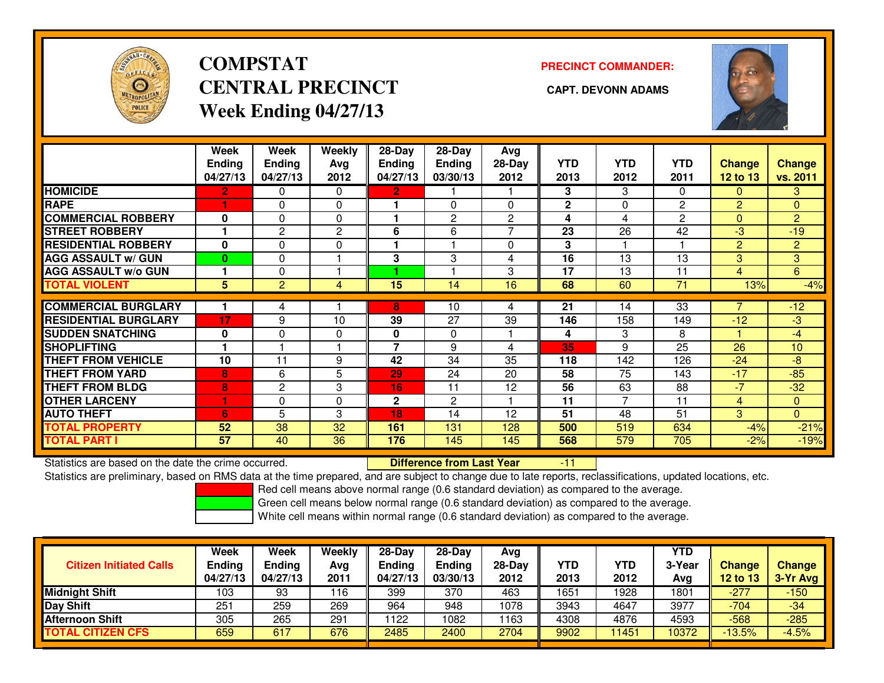

# **COMPSTATCENTRAL PRECINCT CAPT. DEVONN ADAMSWeek Ending 04/27/13**

**PRECINCT COMMANDER:**



|                             | Week<br><b>Ending</b><br>04/27/13 | <b>Week</b><br><b>Ending</b><br>04/27/13 | <b>Weekly</b><br>Ava<br>2012 | $28$ -Day<br>Ending<br>04/27/13 | $28 - Day$<br><b>Ending</b><br>03/30/13 | Avg<br>28-Day<br>2012 | <b>YTD</b><br>2013 | <b>YTD</b><br>2012 | <b>YTD</b><br>2011 | Change<br><b>12 to 13</b> | <b>Change</b><br>vs. 2011 |
|-----------------------------|-----------------------------------|------------------------------------------|------------------------------|---------------------------------|-----------------------------------------|-----------------------|--------------------|--------------------|--------------------|---------------------------|---------------------------|
| <b>HOMICIDE</b>             | $\overline{2}$                    | $\Omega$                                 | $\Omega$                     | $\overline{2}$                  |                                         |                       | 3                  | 3                  | 0                  | $\Omega$                  | 3 <sup>1</sup>            |
| <b>RAPE</b>                 |                                   | 0                                        | $\Omega$                     |                                 | 0                                       | 0                     | $\mathbf{2}$       | $\Omega$           | 2                  | 2                         | $\overline{0}$            |
| <b>COMMERCIAL ROBBERY</b>   | $\bf{0}$                          | $\Omega$                                 | $\Omega$                     |                                 | 2                                       | $\overline{2}$        | 4                  | 4                  | 2                  | $\Omega$                  | $\overline{2}$            |
| <b>STREET ROBBERY</b>       |                                   | 2                                        | $\overline{c}$               | 6                               | 6                                       | $\overline{ }$        | 23                 | 26                 | 42                 | $-3$                      | $-19$                     |
| <b>RESIDENTIAL ROBBERY</b>  | $\bf{0}$                          | $\Omega$                                 | $\Omega$                     |                                 |                                         | $\Omega$              | 3                  |                    |                    | $\overline{2}$            | $\overline{2}$            |
| <b>AGG ASSAULT w/ GUN</b>   | $\bf{0}$                          | $\Omega$                                 |                              | 3                               | 3                                       | 4                     | 16                 | 13                 | 13                 | 3                         | 3 <sup>1</sup>            |
| <b>AGG ASSAULT w/o GUN</b>  |                                   | $\Omega$                                 |                              |                                 |                                         | 3                     | 17                 | 13                 | 11                 | 4                         | 6                         |
| <b>TOTAL VIOLENT</b>        | 5                                 | $\overline{2}$                           | 4                            | 15                              | 14                                      | 16                    | 68                 | 60                 | 71                 | 13%                       | $-4%$                     |
| <b>COMMERCIAL BURGLARY</b>  |                                   | 4                                        |                              | 8                               | 10                                      | 4                     | 21                 | 14                 | 33                 |                           | $-12$                     |
|                             |                                   |                                          |                              |                                 |                                         |                       |                    |                    |                    |                           |                           |
| <b>RESIDENTIAL BURGLARY</b> | 17                                | 9                                        | 10                           | 39                              | 27                                      | 39                    | 146                | 158                | 149                | $-12$                     | $-3$                      |
| <b>SUDDEN SNATCHING</b>     | $\mathbf 0$                       | $\Omega$                                 | $\Omega$                     | 0                               | 0                                       |                       | 4                  | 3                  | 8                  |                           | $-4$                      |
| <b>SHOPLIFTING</b>          |                                   |                                          |                              | 7                               | 9                                       | 4                     | 35                 | 9                  | 25                 | 26                        | 10                        |
| <b>THEFT FROM VEHICLE</b>   | 10                                | 11                                       | 9                            | 42                              | 34                                      | 35                    | 118                | 142                | 126                | $-24$                     | -8                        |
| <b>THEFT FROM YARD</b>      | 8                                 | 6                                        | 5                            | 29                              | 24                                      | 20                    | 58                 | 75                 | 143                | $-17$                     | $-85$                     |
| <b>THEFT FROM BLDG</b>      | 8                                 | 2                                        | 3                            | 16                              | 11                                      | 12                    | 56                 | 63                 | 88                 | $-7$                      | $-32$                     |
| <b>OTHER LARCENY</b>        | 1                                 | 0                                        | 0                            | $\mathbf{2}$                    | 2                                       |                       | 11                 | $\overline{7}$     | 11                 | 4                         | $\overline{0}$            |
| <b>AUTO THEFT</b>           | 6                                 | 5                                        | 3                            | 18                              | 14                                      | 12                    | 51                 | 48                 | 51                 | 3                         | $\overline{0}$            |
| <b>TOTAL PROPERTY</b>       | 52                                | 38                                       | 32                           | 161                             | 131                                     | 128                   | 500                | 519                | 634                | $-4%$                     | $-21%$                    |
| <b>TOTAL PART I</b>         | 57                                | 40                                       | 36                           | 176                             | 145                                     | 145                   | 568                | 579                | 705                | $-2%$                     | $-19%$                    |

Statistics are based on the date the crime occurred. **Difference from Last Year** 

Statistics are based on the date the crime occurred. **Extence to Lub in Difference from Last Year Film Man**tics are based on the date the crime occurred.<br>Statistics are preliminary, based on RMS data at the time prepared,

Red cell means above normal range (0.6 standard deviation) as compared to the average.

Green cell means below normal range (0.6 standard deviation) as compared to the average.

| <b>Citizen Initiated Calls</b> | <b>Week</b><br><b>Ending</b><br>04/27/13 | Week<br>Ending<br>04/27/13 | Weekly<br>Avg<br>2011 | $28-Day$<br><b>Ending</b><br>04/27/13 | $28-Dav$<br><b>Ending</b><br>03/30/13 | Avg<br>$28-Day$<br>2012 | <b>YTD</b><br>2013 | <b>YTD</b><br>2012 | <b>YTD</b><br>3-Year<br>Avg | Change<br>12 to 13 | <b>Change</b><br>3-Yr Avg |
|--------------------------------|------------------------------------------|----------------------------|-----------------------|---------------------------------------|---------------------------------------|-------------------------|--------------------|--------------------|-----------------------------|--------------------|---------------------------|
| <b>Midnight Shift</b>          | 103                                      | 93                         | 116                   | 399                                   | 370                                   | 463                     | 1651               | 1928               | 1801                        | $-277$             | $-150$                    |
| Day Shift                      | 251                                      | 259                        | 269                   | 964                                   | 948                                   | 1078                    | 3943               | 4647               | 3977                        | $-704$             | -34                       |
| <b>Afternoon Shift</b>         | 305                                      | 265                        | 291                   | 122                                   | 1082                                  | 163                     | 4308               | 4876               | 4593                        | $-568$             | $-285$                    |
| <b>TOTAL CITIZEN CFS</b>       | 659                                      | 617                        | 676                   | 2485                                  | 2400                                  | 2704                    | 9902               | 1451               | 10372                       | $-13.5%$           | $-4.5%$                   |
|                                |                                          |                            |                       |                                       |                                       |                         |                    |                    |                             |                    |                           |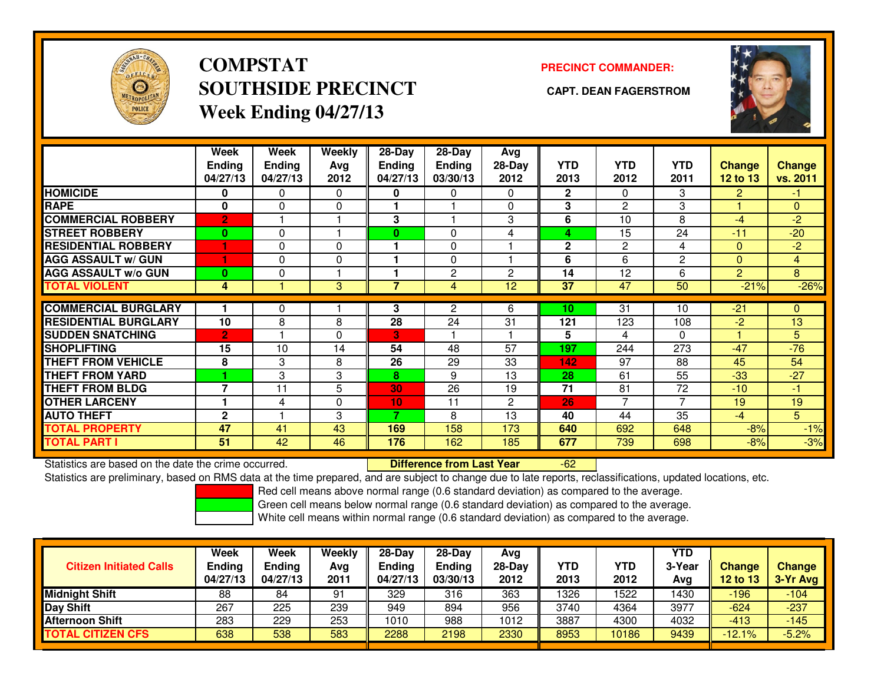

**COMPSTATSOUTHSIDE PRECINCT CAPT. DEAN FAGERSTROMWeek Ending 04/27/13**

### **PRECINCT COMMANDER:**



|                             | Week<br>Ending<br>04/27/13 | <b>Week</b><br><b>Ending</b><br>04/27/13 | <b>Weekly</b><br>Ava<br>2012 | $28 - Day$<br>Ending<br>04/27/13 | $28 - Day$<br><b>Ending</b><br>03/30/13 | Avg<br>$28-Day$<br>2012 | <b>YTD</b><br>2013 | <b>YTD</b><br>2012 | <b>YTD</b><br>2011 | <b>Change</b><br>12 to 13 | <b>Change</b><br>vs. 2011 |
|-----------------------------|----------------------------|------------------------------------------|------------------------------|----------------------------------|-----------------------------------------|-------------------------|--------------------|--------------------|--------------------|---------------------------|---------------------------|
| <b>HOMICIDE</b>             | 0                          | 0                                        | 0                            | 0                                | 0                                       | 0                       | $\mathbf{2}$       | 0                  | 3                  | 2                         | -1.                       |
| <b>RAPE</b>                 | $\bf{0}$                   | 0                                        | $\mathbf 0$                  |                                  |                                         | 0                       | 3                  | 2                  | 3                  |                           | $\Omega$                  |
| <b>COMMERCIAL ROBBERY</b>   | $\overline{2}$             | ٠                                        |                              | 3                                |                                         | 3                       | 6                  | 10                 | 8                  | $-4$                      | $-2$                      |
| <b>STREET ROBBERY</b>       | $\bf{0}$                   | 0                                        |                              | 0                                | $\Omega$                                | 4                       | 4                  | 15                 | 24                 | $-11$                     | $-20$                     |
| <b>RESIDENTIAL ROBBERY</b>  |                            | 0                                        | $\Omega$                     |                                  | $\Omega$                                |                         | $\mathbf{2}$       | $\overline{2}$     | 4                  | $\mathbf{0}$              | $-2$                      |
| <b>AGG ASSAULT w/ GUN</b>   |                            | 0                                        | $\Omega$                     |                                  | $\Omega$                                |                         | 6                  | 6                  | $\overline{2}$     | $\Omega$                  | $\overline{4}$            |
| <b>AGG ASSAULT w/o GUN</b>  | $\bf{0}$                   | 0                                        |                              |                                  | 2                                       | 2                       | 14                 | 12                 | 6                  | 2                         | 8                         |
| <b>TOTAL VIOLENT</b>        | 4                          |                                          | 3 <sup>5</sup>               | 7                                | 4                                       | 12                      | 37                 | 47                 | 50                 | $-21%$                    | $-26%$                    |
| <b>COMMERCIAL BURGLARY</b>  |                            | 0                                        |                              | 3                                | 2                                       | 6                       | 10                 | 31                 | 10                 | $-21$                     | $\Omega$                  |
|                             |                            |                                          |                              |                                  |                                         |                         |                    |                    |                    |                           |                           |
| <b>RESIDENTIAL BURGLARY</b> | 10                         | 8                                        | 8                            | 28                               | 24                                      | 31                      | 121                | 123                | 108                | $-2$                      | 13                        |
| <b>SUDDEN SNATCHING</b>     | $\overline{2}$             |                                          | $\Omega$                     | В.                               |                                         |                         | 5                  | 4                  | 0                  |                           | 5                         |
| <b>SHOPLIFTING</b>          | 15                         | 10                                       | 14                           | 54                               | 48                                      | 57                      | 197                | 244                | 273                | $-47$                     | $-76$                     |
| THEFT FROM VEHICLE          | 8                          | 3                                        | 8                            | 26                               | 29                                      | 33                      | 142                | 97                 | 88                 | 45                        | 54                        |
| <b>THEFT FROM YARD</b>      |                            | 3                                        | 3                            | 8                                | 9                                       | 13                      | 28                 | 61                 | 55                 | $-33$                     | $-27$                     |
| <b>THEFT FROM BLDG</b>      | 7                          | 11                                       | 5                            | 30                               | 26                                      | 19                      | 71                 | 81                 | 72                 | $-10$                     | -1                        |
| <b>OTHER LARCENY</b>        |                            | 4                                        | $\Omega$                     | 10 <sub>1</sub>                  | 11                                      | $\overline{c}$          | 26                 | $\overline{7}$     | 7                  | 19                        | 19                        |
| <b>AUTO THEFT</b>           | $\mathbf{2}$               |                                          | 3                            | 7                                | 8                                       | 13                      | 40                 | 44                 | 35                 | $-4$                      | 5                         |
| <b>TOTAL PROPERTY</b>       | 47                         | 41                                       | 43                           | 169                              | 158                                     | 173                     | 640                | 692                | 648                | $-8%$                     | $-1%$                     |
| <b>TOTAL PART I</b>         | 51                         | 42                                       | 46                           | 176                              | 162                                     | 185                     | 677                | 739                | 698                | $-8%$                     | $-3%$                     |

Statistics are based on the date the crime occurred. **Difference from Last Year** 

-62

Statistics are preliminary, based on RMS data at the time prepared, and are subject to change due to late reports, reclassifications, updated locations, etc.

Red cell means above normal range (0.6 standard deviation) as compared to the average.

Green cell means below normal range (0.6 standard deviation) as compared to the average.

|                                | Week                      | <b>Week</b>               | Weekly | $28-Day$                  | $28-Dav$           | Avg      |      |            | <b>YTD</b> |                           |               |
|--------------------------------|---------------------------|---------------------------|--------|---------------------------|--------------------|----------|------|------------|------------|---------------------------|---------------|
| <b>Citizen Initiated Calls</b> | <b>Ending</b><br>04/27/13 | <b>Ending</b><br>04/27/13 | Avg    | <b>Endina</b><br>04/27/13 | Ending<br>03/30/13 | $28-Dav$ | YTD  | <b>YTD</b> | 3-Year     | <b>Change</b><br>12 to 13 | <b>Change</b> |
|                                |                           |                           | 2011   |                           |                    | 2012     | 2013 | 2012       | Avg        |                           | $3-Yr$ Avg    |
| <b>Midnight Shift</b>          | 88                        | 84                        | 91     | 329                       | 316                | 363      | 1326 | 522        | 1430       | 196                       | $-104$        |
| Day Shift                      | 267                       | 225                       | 239    | 949                       | 894                | 956      | 3740 | 4364       | 3977       | $-624$                    | $-237$        |
| <b>Afternoon Shift</b>         | 283                       | 229                       | 253    | 1010                      | 988                | 1012     | 3887 | 4300       | 4032       | $-413$                    | $-145$        |
| <b>TOTAL CITIZEN CFS</b>       | 638                       | 538                       | 583    | 2288                      | 2198               | 2330     | 8953 | 10186      | 9439       | $-12.1%$                  | $-5.2%$       |
|                                |                           |                           |        |                           |                    |          |      |            |            |                           |               |